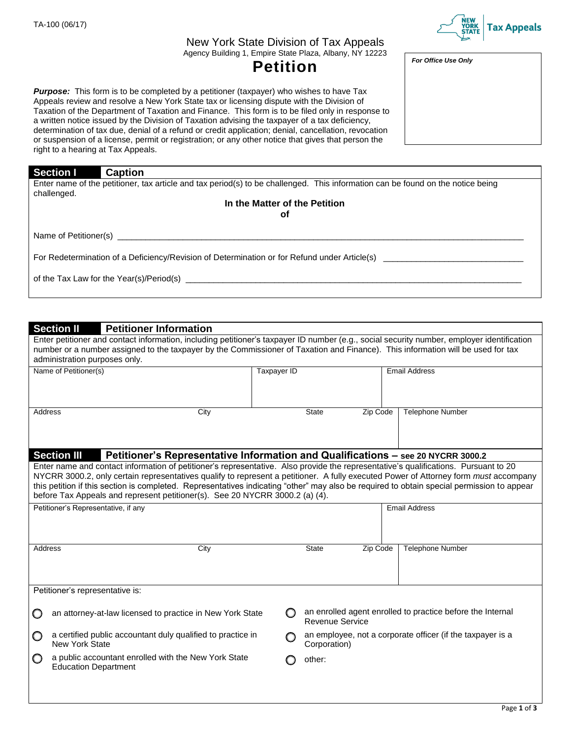## New York State Division of Tax Appeals Agency Building 1, Empire State Plaza, Albany, NY 12223

## **Petition**

*Purpose:* This form is to be completed by a petitioner (taxpayer) who wishes to have Tax Appeals review and resolve a New York State tax or licensing dispute with the Division of Taxation of the Department of Taxation and Finance. This form is to be filed only in response to a written notice issued by the Division of Taxation advising the taxpayer of a tax deficiency, determination of tax due, denial of a refund or credit application; denial, cancellation, revocation or suspension of a license, permit or registration; or any other notice that gives that person the right to a hearing at Tax Appeals.

## **Section I Caption** Enter name of the petitioner, tax article and tax period(s) to be challenged. This information can be found on the notice being challenged. **In the Matter of the Petition of** Name of Petitioner(s) \_\_\_\_\_\_\_\_\_\_\_\_\_\_\_\_\_\_\_\_\_\_\_\_\_\_\_\_\_\_\_\_\_\_\_\_\_\_\_\_\_\_\_\_\_\_\_\_\_\_\_\_\_\_\_\_\_\_\_\_\_\_\_\_\_\_\_\_\_\_\_\_\_\_\_\_\_\_\_\_\_\_\_\_\_\_\_ For Redetermination of a Deficiency/Revision of Determination or for Refund under Article(s) \_\_\_\_\_\_\_\_\_\_\_\_\_\_\_\_\_

of the Tax Law for the Year(s)/Period(s) \_\_\_\_\_\_\_\_\_\_\_\_\_\_\_\_\_\_\_\_\_\_\_\_\_\_\_\_\_\_\_\_\_\_\_\_\_\_\_\_\_\_\_\_\_\_\_\_\_\_\_\_\_\_\_\_\_\_\_\_\_\_\_\_\_\_\_\_\_\_\_\_

|                                                                                                                                                                                                                                                                                                                                                                                                                                                                                                           | <b>Section II</b><br><b>Petitioner Information</b>                                                     |              |                                                                                      |          |                         |  |  |  |
|-----------------------------------------------------------------------------------------------------------------------------------------------------------------------------------------------------------------------------------------------------------------------------------------------------------------------------------------------------------------------------------------------------------------------------------------------------------------------------------------------------------|--------------------------------------------------------------------------------------------------------|--------------|--------------------------------------------------------------------------------------|----------|-------------------------|--|--|--|
| Enter petitioner and contact information, including petitioner's taxpayer ID number (e.g., social security number, employer identification<br>number or a number assigned to the taxpayer by the Commissioner of Taxation and Finance). This information will be used for tax<br>administration purposes only.                                                                                                                                                                                            |                                                                                                        |              |                                                                                      |          |                         |  |  |  |
| Name of Petitioner(s)                                                                                                                                                                                                                                                                                                                                                                                                                                                                                     |                                                                                                        | Taxpayer ID  |                                                                                      |          | <b>Email Address</b>    |  |  |  |
| Address                                                                                                                                                                                                                                                                                                                                                                                                                                                                                                   | City                                                                                                   |              | <b>State</b>                                                                         | Zip Code | Telephone Number        |  |  |  |
|                                                                                                                                                                                                                                                                                                                                                                                                                                                                                                           | <b>Section III</b><br>Petitioner's Representative Information and Qualifications - see 20 NYCRR 3000.2 |              |                                                                                      |          |                         |  |  |  |
| Enter name and contact information of petitioner's representative. Also provide the representative's qualifications. Pursuant to 20<br>NYCRR 3000.2, only certain representatives qualify to represent a petitioner. A fully executed Power of Attorney form must accompany<br>this petition if this section is completed. Representatives indicating "other" may also be required to obtain special permission to appear<br>before Tax Appeals and represent petitioner(s). See 20 NYCRR 3000.2 (a) (4). |                                                                                                        |              |                                                                                      |          |                         |  |  |  |
|                                                                                                                                                                                                                                                                                                                                                                                                                                                                                                           | Petitioner's Representative, if any                                                                    |              |                                                                                      |          | <b>Email Address</b>    |  |  |  |
| City<br>Address                                                                                                                                                                                                                                                                                                                                                                                                                                                                                           |                                                                                                        | <b>State</b> |                                                                                      | Zip Code | <b>Telephone Number</b> |  |  |  |
| Petitioner's representative is:                                                                                                                                                                                                                                                                                                                                                                                                                                                                           |                                                                                                        |              |                                                                                      |          |                         |  |  |  |
| O                                                                                                                                                                                                                                                                                                                                                                                                                                                                                                         | an attorney-at-law licensed to practice in New York State                                              |              | an enrolled agent enrolled to practice before the Internal<br><b>Revenue Service</b> |          |                         |  |  |  |
| O                                                                                                                                                                                                                                                                                                                                                                                                                                                                                                         | a certified public accountant duly qualified to practice in<br>New York State                          |              | an employee, not a corporate officer (if the taxpayer is a<br>Corporation)           |          |                         |  |  |  |
| O                                                                                                                                                                                                                                                                                                                                                                                                                                                                                                         | a public accountant enrolled with the New York State<br><b>Education Department</b>                    |              | other:                                                                               |          |                         |  |  |  |

**Tax Appeals** 

*For Office Use Only*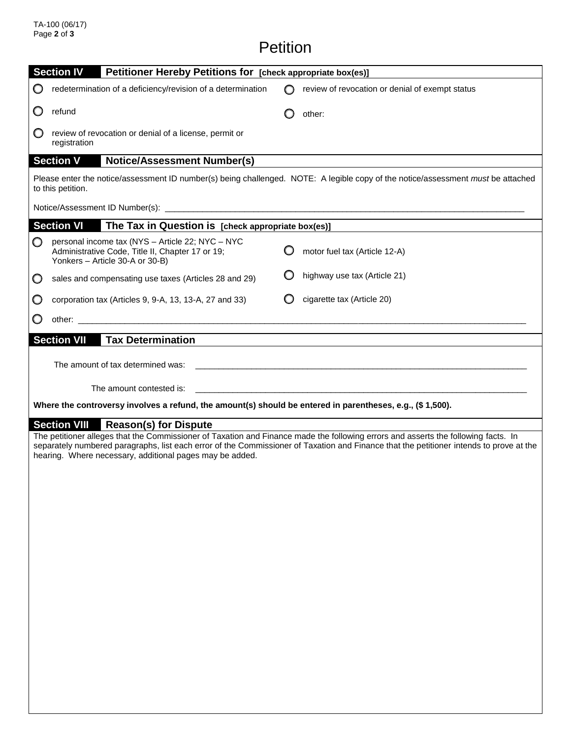## Petition

| <b>Section IV</b><br>Petitioner Hereby Petitions for [check appropriate box(es)]                                                                      |                     |                                                                                                                                         |  |                                                                                                                                                                                                                                                                               |  |  |  |  |
|-------------------------------------------------------------------------------------------------------------------------------------------------------|---------------------|-----------------------------------------------------------------------------------------------------------------------------------------|--|-------------------------------------------------------------------------------------------------------------------------------------------------------------------------------------------------------------------------------------------------------------------------------|--|--|--|--|
|                                                                                                                                                       |                     | redetermination of a deficiency/revision of a determination                                                                             |  | review of revocation or denial of exempt status                                                                                                                                                                                                                               |  |  |  |  |
| O                                                                                                                                                     | refund              |                                                                                                                                         |  | other:                                                                                                                                                                                                                                                                        |  |  |  |  |
| O                                                                                                                                                     | registration        | review of revocation or denial of a license, permit or                                                                                  |  |                                                                                                                                                                                                                                                                               |  |  |  |  |
|                                                                                                                                                       | <b>Section V</b>    | <b>Notice/Assessment Number(s)</b>                                                                                                      |  |                                                                                                                                                                                                                                                                               |  |  |  |  |
| Please enter the notice/assessment ID number(s) being challenged. NOTE: A legible copy of the notice/assessment must be attached<br>to this petition. |                     |                                                                                                                                         |  |                                                                                                                                                                                                                                                                               |  |  |  |  |
|                                                                                                                                                       |                     |                                                                                                                                         |  |                                                                                                                                                                                                                                                                               |  |  |  |  |
|                                                                                                                                                       | <b>Section VI</b>   | The Tax in Question is [check appropriate box(es)]                                                                                      |  |                                                                                                                                                                                                                                                                               |  |  |  |  |
| $\circ$                                                                                                                                               |                     | personal income tax (NYS - Article 22; NYC - NYC<br>Administrative Code, Title II, Chapter 17 or 19;<br>Yonkers - Article 30-A or 30-B) |  | motor fuel tax (Article 12-A)                                                                                                                                                                                                                                                 |  |  |  |  |
| O                                                                                                                                                     |                     | sales and compensating use taxes (Articles 28 and 29)                                                                                   |  | highway use tax (Article 21)                                                                                                                                                                                                                                                  |  |  |  |  |
| O                                                                                                                                                     |                     | corporation tax (Articles 9, 9-A, 13, 13-A, 27 and 33)                                                                                  |  | cigarette tax (Article 20)                                                                                                                                                                                                                                                    |  |  |  |  |
|                                                                                                                                                       |                     |                                                                                                                                         |  |                                                                                                                                                                                                                                                                               |  |  |  |  |
|                                                                                                                                                       | <b>Section VII</b>  | <b>Tax Determination</b>                                                                                                                |  |                                                                                                                                                                                                                                                                               |  |  |  |  |
|                                                                                                                                                       |                     | The amount of tax determined was:                                                                                                       |  | and the control of the control of the control of the control of the control of the control of the control of the                                                                                                                                                              |  |  |  |  |
|                                                                                                                                                       |                     | The amount contested is:                                                                                                                |  |                                                                                                                                                                                                                                                                               |  |  |  |  |
|                                                                                                                                                       |                     | Where the controversy involves a refund, the amount(s) should be entered in parentheses, e.g., (\$1,500).                               |  |                                                                                                                                                                                                                                                                               |  |  |  |  |
|                                                                                                                                                       | <b>Section VIII</b> | <b>Reason(s) for Dispute</b><br>hearing. Where necessary, additional pages may be added.                                                |  | The petitioner alleges that the Commissioner of Taxation and Finance made the following errors and asserts the following facts. In<br>separately numbered paragraphs, list each error of the Commissioner of Taxation and Finance that the petitioner intends to prove at the |  |  |  |  |